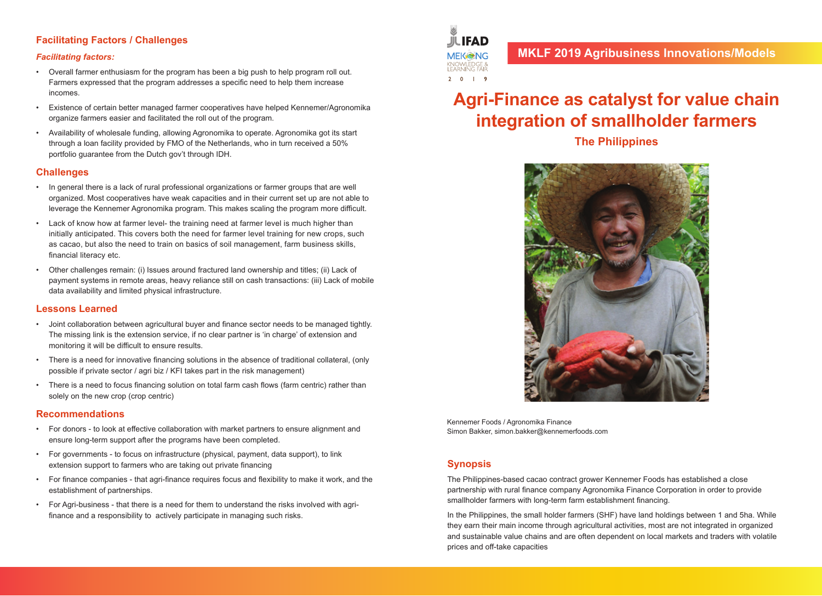# **MKLF 2019 Agribusiness Innovations/Models**

# **Agri-Finance as catalyst for value chain integration of smallholder farmers**

**The Philippines**



Kennemer Foods / Agronomika Finance Simon Bakker, simon.bakker@kennemerfoods.com

#### **Synopsis**

The Philippines-based cacao contract grower Kennemer Foods has established a close partnership with rural finance company Agronomika Finance Corporation in order to provide smallholder farmers with long-term farm establishment financing.

In the Philippines, the small holder farmers (SHF) have land holdings between 1 and 5ha. While they earn their main income through agricultural activities, most are not integrated in organized and sustainable value chains and are often dependent on local markets and traders with volatile prices and off-take capacities

# **Facilitating Factors / Challenges**

#### *Facilitating factors:*

- Overall farmer enthusiasm for the program has been a big push to help program roll out. Farmers expressed that the program addresses a specific need to help them increase incomes.
- Existence of certain better managed farmer cooperatives have helped Kennemer/Agronomika organize farmers easier and facilitated the roll out of the program.
- Availability of wholesale funding, allowing Agronomika to operate. Agronomika got its start through a loan facility provided by FMO of the Netherlands, who in turn received a 50% portfolio guarantee from the Dutch gov't through IDH.

#### **Challenges**

- In general there is a lack of rural professional organizations or farmer groups that are well organized. Most cooperatives have weak capacities and in their current set up are not able to leverage the Kennemer Agronomika program. This makes scaling the program more difficult.
- Lack of know how at farmer level- the training need at farmer level is much higher than initially anticipated. This covers both the need for farmer level training for new crops, such as cacao, but also the need to train on basics of soil management, farm business skills, financial literacy etc.
- Other challenges remain: (i) Issues around fractured land ownership and titles; (ii) Lack of payment systems in remote areas, heavy reliance still on cash transactions: (iii) Lack of mobile data availability and limited physical infrastructure.

#### **Lessons Learned**

- Joint collaboration between agricultural buyer and finance sector needs to be managed tightly. The missing link is the extension service, if no clear partner is 'in charge' of extension and monitoring it will be difficult to ensure results.
- There is a need for innovative financing solutions in the absence of traditional collateral, (only possible if private sector / agri biz / KFI takes part in the risk management)
- There is a need to focus financing solution on total farm cash flows (farm centric) rather than solely on the new crop (crop centric)

#### **Recommendations**

- For donors to look at effective collaboration with market partners to ensure alignment and ensure long-term support after the programs have been completed.
- For governments to focus on infrastructure (physical, payment, data support), to link extension support to farmers who are taking out private financing
- For finance companies that agri-finance requires focus and flexibility to make it work, and the establishment of partnerships.
- For Agri-business that there is a need for them to understand the risks involved with agrifinance and a responsibility to actively participate in managing such risks.

**ULIFAD MEK NG** KNOWLEDGE &<br>I FARNING FAIR  $2 0 1 9$